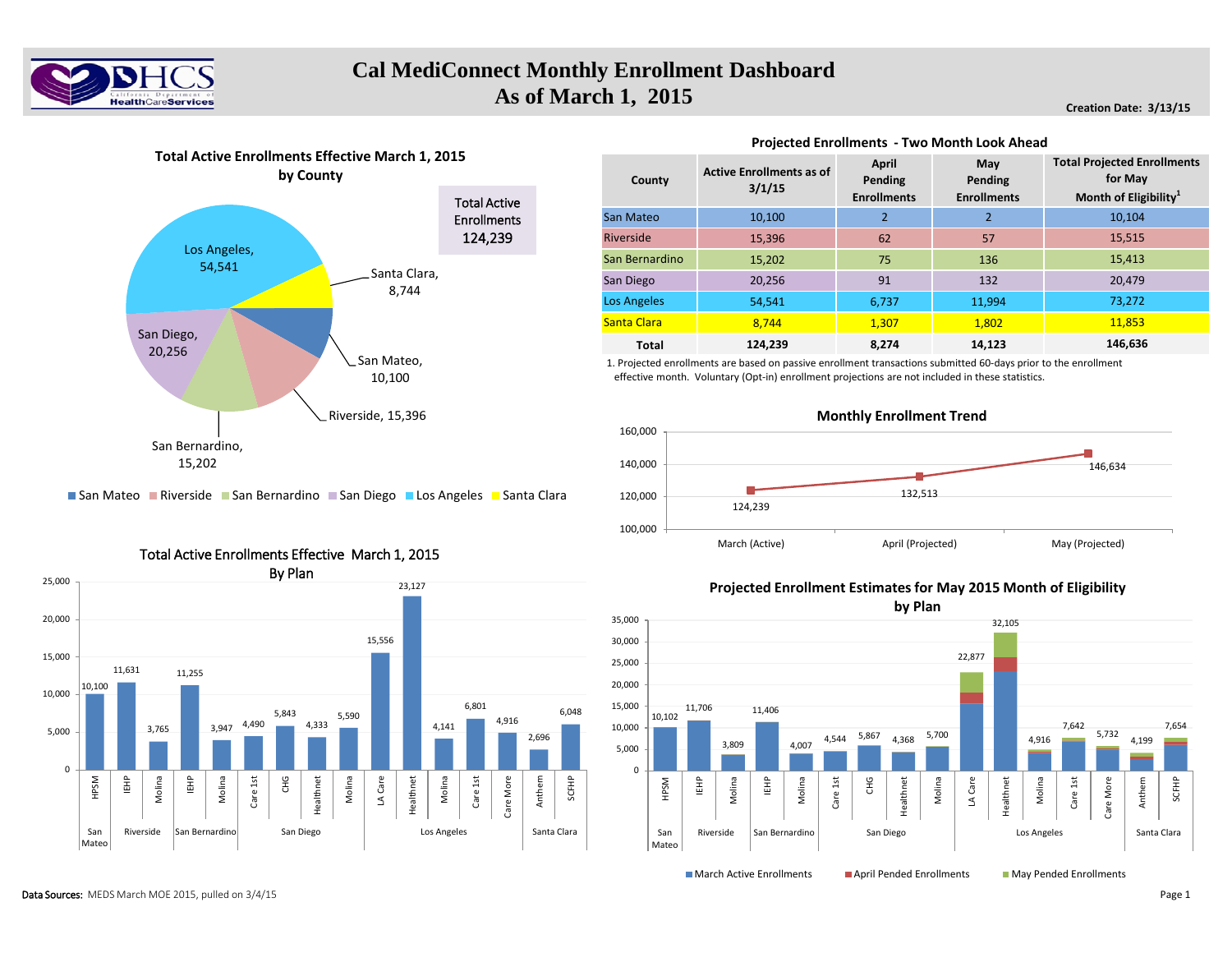

# **Cal MediConnect Monthly Enrollment Dashboard As of March 1, 2015** *Creation Date: 3/13/15**Creation Date: 3/13/15*



### **Projected Enrollments - Two Month Look Ahead**

| County             | <b>Active Enrollments as of</b><br>3/1/15 | <b>April</b><br>Pending<br><b>Enrollments</b> | May<br>Pending<br><b>Enrollments</b> | <b>Total Projected Enrollments</b><br>for May<br>Month of Eligibility <sup>1</sup> |
|--------------------|-------------------------------------------|-----------------------------------------------|--------------------------------------|------------------------------------------------------------------------------------|
| San Mateo          | 10.100                                    | $\overline{2}$                                | $\overline{2}$                       | 10.104                                                                             |
| Riverside          | 15.396                                    | 62                                            | 57                                   | 15,515                                                                             |
| San Bernardino     | 15,202                                    | 75                                            | 136                                  | 15,413                                                                             |
| San Diego          | 20.256                                    | 91                                            | 132                                  | 20.479                                                                             |
| <b>Los Angeles</b> | 54,541                                    | 6,737                                         | 11,994                               | 73,272                                                                             |
| Santa Clara        | 8.744                                     | 1,307                                         | 1,802                                | 11,853                                                                             |
| <b>Total</b>       | 124,239                                   | 8.274                                         | 14,123                               | 146,636                                                                            |

1. Projected enrollments are based on passive enrollment transactions submitted 60-days prior to the enrollment effective month. Voluntary (Opt-in) enrollment projections are not included in these statistics.



San Mateo **Riverside E** San Bernardino E San Diego E Los Angeles E Santa Clara



### Total Active Enrollments Effective March 1, 2015

**Projected Enrollment Estimates for May 2015 Month of Eligibility**